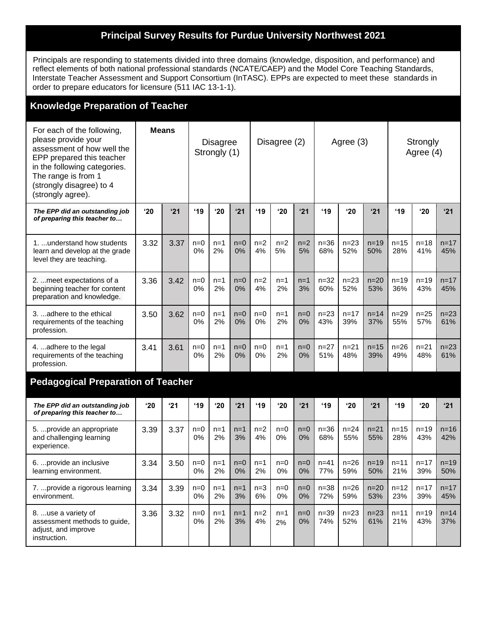## **Principal Survey Results for Purdue University Northwest 2021**

Principals are responding to statements divided into three domains (knowledge, disposition, and performance) and reflect elements of both national professional standards (NCATE/CAEP) and the Model Core Teaching Standards, Interstate Teacher Assessment and Support Consortium (InTASC). EPPs are expected to meet these standards in order to prepare educators for licensure (511 IAC 13-1-1).

| <b>Knowledge Preparation of Teacher</b>                                                                                                                                                                              |              |      |                                 |             |             |              |             |             |                 |                 |                 |                       |                 |                 |
|----------------------------------------------------------------------------------------------------------------------------------------------------------------------------------------------------------------------|--------------|------|---------------------------------|-------------|-------------|--------------|-------------|-------------|-----------------|-----------------|-----------------|-----------------------|-----------------|-----------------|
| For each of the following,<br>please provide your<br>assessment of how well the<br>EPP prepared this teacher<br>in the following categories.<br>The range is from 1<br>(strongly disagree) to 4<br>(strongly agree). | <b>Means</b> |      | <b>Disagree</b><br>Strongly (1) |             |             | Disagree (2) |             |             | Agree (3)       |                 |                 | Strongly<br>Agree (4) |                 |                 |
| The EPP did an outstanding job<br>of preparing this teacher to                                                                                                                                                       | '20          | '21  | '19                             | '20         | '21         | '19          | '20         | '21         | '19             | '20             | '21             | '19                   | '20             | '21             |
| 1.  understand how students<br>learn and develop at the grade<br>level they are teaching.                                                                                                                            | 3.32         | 3.37 | $n=0$<br>0%                     | $n=1$<br>2% | $n=0$<br>0% | $n=2$<br>4%  | $n=2$<br>5% | $n=2$<br>5% | $n=36$<br>68%   | $n = 23$<br>52% | $n=19$<br>50%   | $n = 15$<br>28%       | $n = 18$<br>41% | $n = 17$<br>45% |
| 2.  meet expectations of a<br>beginning teacher for content<br>preparation and knowledge.                                                                                                                            | 3.36         | 3.42 | $n=0$<br>0%                     | $n=1$<br>2% | $n=0$<br>0% | $n=2$<br>4%  | $n=1$<br>2% | $n=1$<br>3% | $n = 32$<br>60% | $n = 23$<br>52% | $n=20$<br>53%   | $n = 19$<br>36%       | $n = 19$<br>43% | $n = 17$<br>45% |
| 3.  adhere to the ethical<br>requirements of the teaching<br>profession.                                                                                                                                             | 3.50         | 3.62 | $n=0$<br>0%                     | $n=1$<br>2% | $n=0$<br>0% | $n=0$<br>0%  | $n=1$<br>2% | $n=0$<br>0% | $n = 23$<br>43% | $n = 17$<br>39% | $n = 14$<br>37% | $n=29$<br>55%         | $n = 25$<br>57% | $n = 23$<br>61% |
| 4. adhere to the legal<br>requirements of the teaching<br>profession.                                                                                                                                                | 3.41         | 3.61 | $n=0$<br>0%                     | $n=1$<br>2% | $n=0$<br>0% | $n=0$<br>0%  | n=1<br>2%   | $n=0$<br>0% | $n = 27$<br>51% | $n = 21$<br>48% | $n = 15$<br>39% | $n = 26$<br>49%       | $n = 21$<br>48% | $n = 23$<br>61% |
| <b>Pedagogical Preparation of Teacher</b>                                                                                                                                                                            |              |      |                                 |             |             |              |             |             |                 |                 |                 |                       |                 |                 |
| The EPP did an outstanding job<br>of preparing this teacher to                                                                                                                                                       | '20          | 21   | '19                             | '20         | '21         | '19          | '20         | '21         | '19             | $^{\prime}20$   | '21             | $^{\prime}$ 19        | '20             | '21             |
| 5.  provide an appropriate<br>and challenging learning<br>experience.                                                                                                                                                | 3.39         | 3.37 | $n=0$<br>0%                     | $n=1$<br>2% | $n=1$<br>3% | $n=2$<br>4%  | $n=0$<br>0% | $n=0$<br>0% | $n=36$<br>68%   | $n = 24$<br>55% | $n = 21$<br>55% | $n = 15$<br>28%       | $n = 19$<br>43% | $n = 16$<br>42% |
| 6.  provide an inclusive<br>learning environment.                                                                                                                                                                    | 3.34         | 3.50 | $n=0$<br>0%                     | $n=1$<br>2% | $n=0$<br>0% | $n=1$<br>2%  | $n=0$<br>0% | $n=0$<br>0% | $n = 41$<br>77% | $n=26$<br>59%   | $n=19$<br>50%   | $n = 11$<br>21%       | $n = 17$<br>39% | $n = 19$<br>50% |
| 7.  provide a rigorous learning<br>environment.                                                                                                                                                                      | 3.34         | 3.39 | $n=0$<br>0%                     | $n=1$<br>2% | $n=1$<br>3% | $n=3$<br>6%  | $n=0$<br>0% | $n=0$<br>0% | $n = 38$<br>72% | $n = 26$<br>59% | $n=20$<br>53%   | $n = 12$<br>23%       | $n = 17$<br>39% | $n = 17$<br>45% |
| 8. use a variety of<br>assessment methods to guide,<br>adjust, and improve<br>instruction.                                                                                                                           | 3.36         | 3.32 | $n=0$<br>0%                     | $n=1$<br>2% | $n=1$<br>3% | $n=2$<br>4%  | $n=1$<br>2% | $n=0$<br>0% | $n = 39$<br>74% | $n = 23$<br>52% | $n = 23$<br>61% | $n = 11$<br>21%       | $n = 19$<br>43% | $n = 14$<br>37% |